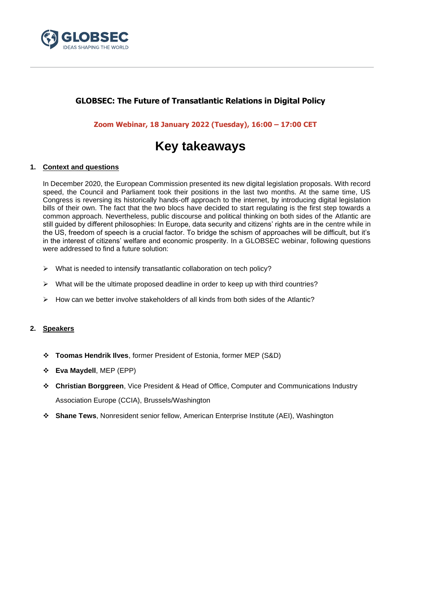

## **GLOBSEC: The Future of Transatlantic Relations in Digital Policy**

**Zoom Webinar, 18 January 2022 (Tuesday), 16:00 – 17:00 CET**

# **Key takeaways**

### **1. Context and questions**

In December 2020, the European Commission presented its new digital legislation proposals. With record speed, the Council and Parliament took their positions in the last two months. At the same time, US Congress is reversing its historically hands-off approach to the internet, by introducing digital legislation bills of their own. The fact that the two blocs have decided to start regulating is the first step towards a common approach. Nevertheless, public discourse and political thinking on both sides of the Atlantic are still guided by different philosophies: In Europe, data security and citizens' rights are in the centre while in the US, freedom of speech is a crucial factor. To bridge the schism of approaches will be difficult, but it's in the interest of citizens' welfare and economic prosperity. In a GLOBSEC webinar, following questions were addressed to find a future solution:

- ➢ What is needed to intensify transatlantic collaboration on tech policy?
- $\triangleright$  What will be the ultimate proposed deadline in order to keep up with third countries?
- $\triangleright$  How can we better involve stakeholders of all kinds from both sides of the Atlantic?

### **2. Speakers**

- ❖ **Toomas Hendrik Ilves**, former President of Estonia, former MEP (S&D)
- ❖ **Eva Maydell**, MEP (EPP)
- ❖ **Christian Borggreen**, Vice President & Head of Office, Computer and Communications Industry Association Europe (CCIA), Brussels/Washington
- ❖ **Shane Tews**, Nonresident senior fellow, American Enterprise Institute (AEI), Washington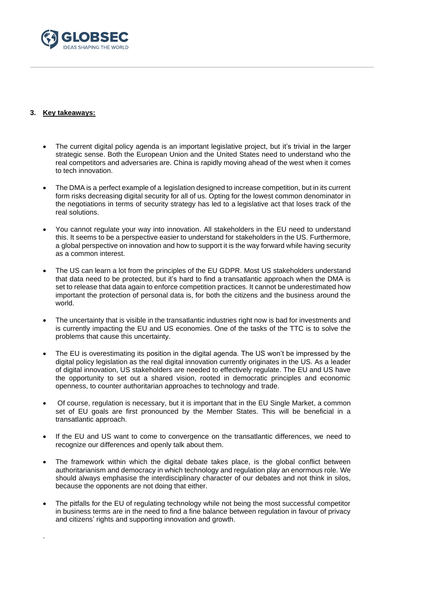

### **3. Key takeaways:**

.

- The current digital policy agenda is an important legislative project, but it's trivial in the larger strategic sense. Both the European Union and the United States need to understand who the real competitors and adversaries are. China is rapidly moving ahead of the west when it comes to tech innovation.
- The DMA is a perfect example of a legislation designed to increase competition, but in its current form risks decreasing digital security for all of us. Opting for the lowest common denominator in the negotiations in terms of security strategy has led to a legislative act that loses track of the real solutions.
- You cannot regulate your way into innovation. All stakeholders in the EU need to understand this. It seems to be a perspective easier to understand for stakeholders in the US. Furthermore, a global perspective on innovation and how to support it is the way forward while having security as a common interest.
- The US can learn a lot from the principles of the EU GDPR. Most US stakeholders understand that data need to be protected, but it's hard to find a transatlantic approach when the DMA is set to release that data again to enforce competition practices. It cannot be underestimated how important the protection of personal data is, for both the citizens and the business around the world.
- The uncertainty that is visible in the transatlantic industries right now is bad for investments and is currently impacting the EU and US economies. One of the tasks of the TTC is to solve the problems that cause this uncertainty.
- The EU is overestimating its position in the digital agenda. The US won't be impressed by the digital policy legislation as the real digital innovation currently originates in the US. As a leader of digital innovation, US stakeholders are needed to effectively regulate. The EU and US have the opportunity to set out a shared vision, rooted in democratic principles and economic openness, to counter authoritarian approaches to technology and trade.
- Of course, regulation is necessary, but it is important that in the EU Single Market, a common set of EU goals are first pronounced by the Member States. This will be beneficial in a transatlantic approach.
- If the EU and US want to come to convergence on the transatlantic differences, we need to recognize our differences and openly talk about them.
- The framework within which the digital debate takes place, is the global conflict between authoritarianism and democracy in which technology and regulation play an enormous role. We should always emphasise the interdisciplinary character of our debates and not think in silos, because the opponents are not doing that either.
- The pitfalls for the EU of regulating technology while not being the most successful competitor in business terms are in the need to find a fine balance between regulation in favour of privacy and citizens' rights and supporting innovation and growth.